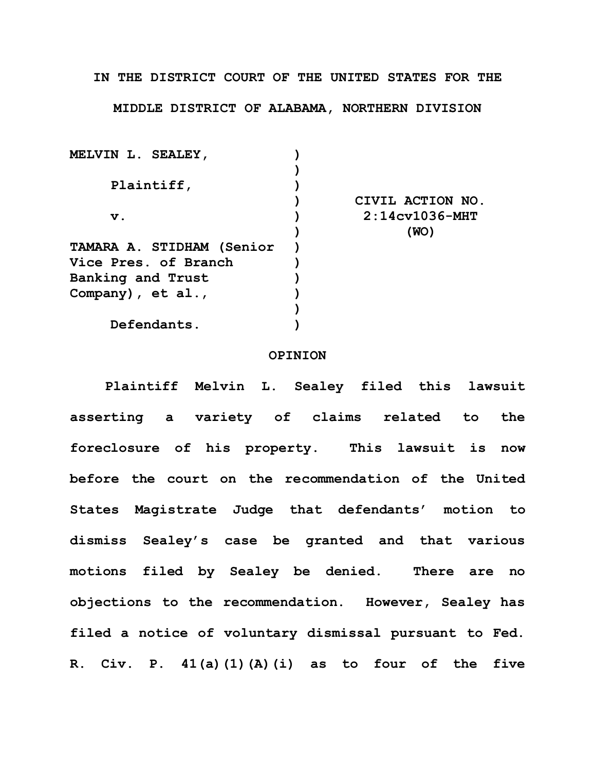**IN THE DISTRICT COURT OF THE UNITED STATES FOR THE**

**MIDDLE DISTRICT OF ALABAMA, NORTHERN DIVISION**

| MELVIN L. SEALEY,         |                       |
|---------------------------|-----------------------|
|                           |                       |
| Plaintiff,                |                       |
|                           | CIVIL ACTION NO.      |
| $\mathbf v$ .             | $2:14c$ v $1036$ -MHT |
|                           | (WO)                  |
| TAMARA A. STIDHAM (Senior |                       |
| Vice Pres. of Branch      |                       |
| Banking and Trust         |                       |
| Company), $et al.,$       |                       |
|                           |                       |
| Defendants.               |                       |

## **OPINION**

**Plaintiff Melvin L. Sealey filed this lawsuit asserting a variety of claims related to the foreclosure of his property. This lawsuit is now before the court on the recommendation of the United States Magistrate Judge that defendants' motion to dismiss Sealey's case be granted and that various motions filed by Sealey be denied. There are no objections to the recommendation. However, Sealey has filed a notice of voluntary dismissal pursuant to Fed. R. Civ. P. 41(a)(1)(A)(i) as to four of the five**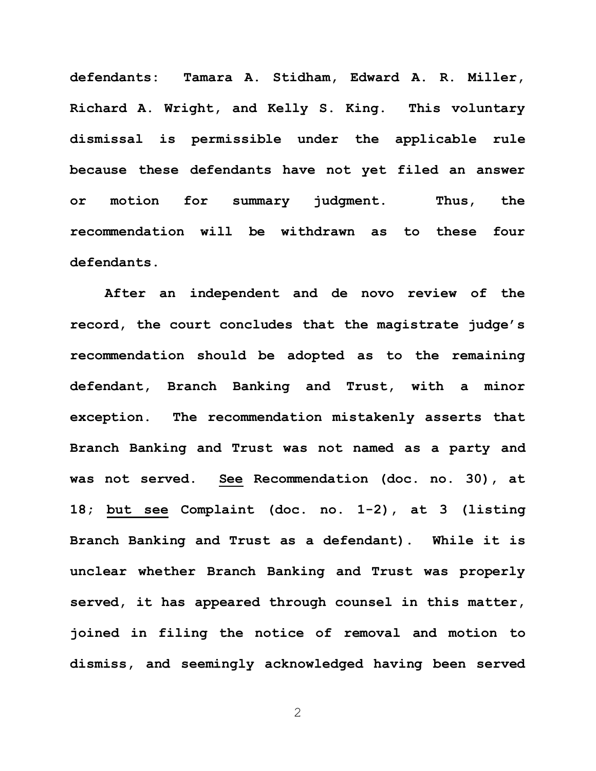**defendants: Tamara A. Stidham, Edward A. R. Miller, Richard A. Wright, and Kelly S. King. This voluntary dismissal is permissible under the applicable rule because these defendants have not yet filed an answer or motion for summary judgment. Thus, the recommendation will be withdrawn as to these four defendants.** 

**After an independent and de novo review of the record, the court concludes that the magistrate judge's recommendation should be adopted as to the remaining defendant, Branch Banking and Trust, with a minor exception. The recommendation mistakenly asserts that Branch Banking and Trust was not named as a party and was not served. See Recommendation (doc. no. 30), at 18; but see Complaint (doc. no. 1-2), at 3 (listing Branch Banking and Trust as a defendant). While it is unclear whether Branch Banking and Trust was properly served, it has appeared through counsel in this matter, joined in filing the notice of removal and motion to dismiss, and seemingly acknowledged having been served** 

2